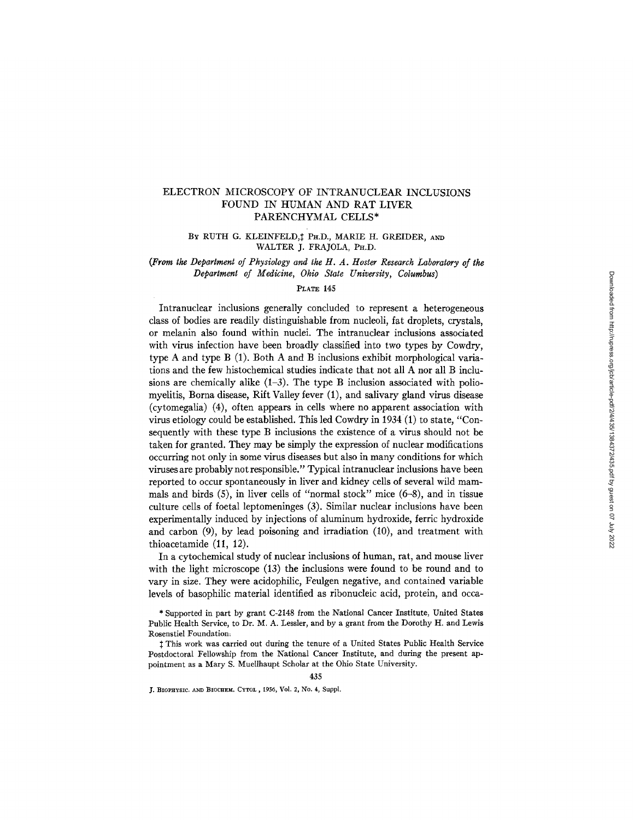# ELECTRON MICROSCOPY OF INTRANUCLEAR INCLUSIONS FOUND IN HUMAN AND RAT LIVER PARENCHYMAL CELLS\*

BY RUTH G. KLEINFELD,<sup>†</sup> PH.D., MARIE H. GREIDER, AND WALTER J. FRAJOLA, PH.D.

*(From the Department of Physiology and the tt. A. Hoster Research Laboratory of the Department of Medicine, Ohio State University, Columbus)* 

#### PLATE 145

Intranuclear inclusions generally concluded to represent a heterogeneous class of bodies are readily distinguishable from nucleoli, fat droplets, crystals, or melanin also found within nuclei. The intranuclear inclusions associated with virus infection have been broadly classified into two types by Cowdry, type A and type B (1). Both A and B inclusions exhibit morphological variations and the few histochemical studies indicate that not all A nor all B inclusions are chemically alike  $(1-3)$ . The type B inclusion associated with poliomyelitis, Borna disease, Rift Valley fever (1), and salivary gland virus disease  $(cytomegalia)$   $(4)$ , often appears in cells where no apparent association with virus etiology could be established. This led Cowdry in 1934 (1) to state, "Consequently with these type B inclusions the existence of a virus should not be taken for granted. They may be simply the expression of nuclear modifications occurring not only in some virus diseases but also in many conditions for which viruses are probably not responsible." Typical intranuclear inclusions have been reported to occur spontaneously in liver and kidney cells of several wild mammals and birds (5), in liver cells of "normal stock" mice (6-8), and in tissue culture cells of foetal leptomeninges (3). Similar nuclear inclusions have been experimentally induced by injections of aluminum hydroxide, ferric hydroxide and carbon (9), by lead poisoning and irradiation (10), and treatment with thioacetamide (11, 12).

In a cytochemical study of nuclear inclusions of human, rat, and mouse liver with the light microscope (13) the inclusions were found to be round and to vary in size. They were acidophilic, Feulgen negative, and contained variable levels of basophilic material identified as ribonucleic acid, protein, and occa-

 $\ddagger$  This work was carried out during the tenure of a United States Public Health Service Postdoctoral Fellowship from the National Cancer Institute, and during the present appointment as a Mary S. Muellhaupt Scholar at the Ohio State University.

435

J. BIOPHYSIC. AND BIOCHEM. CYTOL, 1956, Vol. 2, No. 4, Suppl.

<sup>\*</sup> Supported in part by grant C-2148 from the National Cancer Institute, United States Public Health Service, to Dr. M. A. Lessler, and by a grant from the Dorothy H. and Lewis Rosenstiel Foundatiom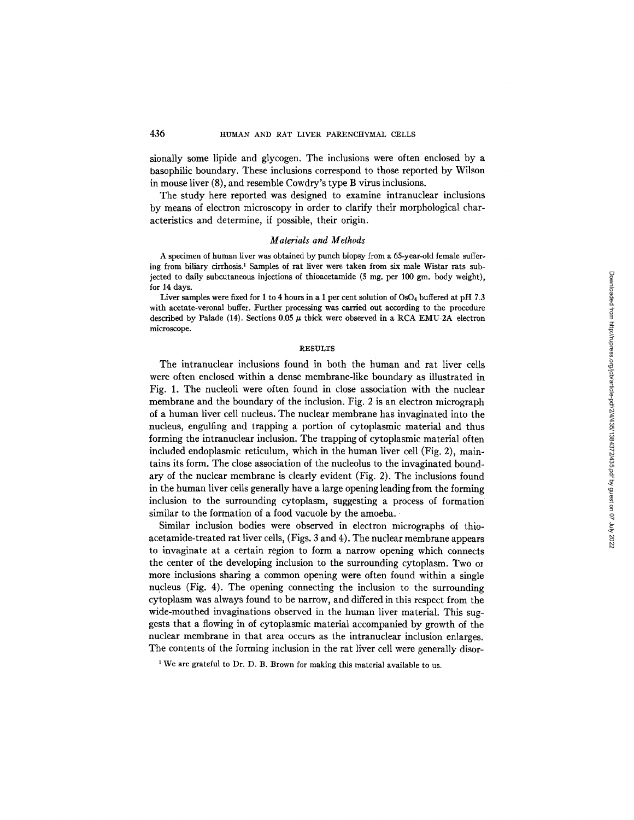sionally some lipide and glycogen. The inclusions were often enclosed by a basophilic boundary. These inclusions correspond to those reported by Wilson in mouse liver (8), and resemble Cowdry's type B virus inclusions.

The study here reported was designed to examine intranuclear inclusions by means of electron microscopy in order to clarify their morphological characteristics and determine, if possible, their origin.

#### *Materials and Methods*

A specimen of human liver was obtained by punch biopsy from a 65-year-old female suffer\* ing from biliary cirrhosis? Samples of rat liver were taken from six male Wistar rats subjected to daily subcutaneous injections of thioacetamide (5 mg. per 100 gm. body weight), for 14 days.

Liver samples were fixed for 1 to 4 hours in a 1 per cent solution of OsO<sub>4</sub> buffered at pH 7.3 with acetate-veronal buffer. Further processing was carried out according to the procedure described by Palade (14). Sections  $0.05 \mu$  thick were observed in a RCA EMU-2A electron microscope.

# RESULTS

The intranuclear inclusions found in both the human and rat liver cells were often enclosed within a dense membrane-like boundary as illustrated in Fig. 1. The nucleoli were often found in close association with the nuclear membrane and the boundary of the inclusion. Fig. 2 is an electron micrograph of a human liver cell nucleus. The nuclear membrane has invaginated into the nucleus, engulfing and trapping a portion of cytoplasmic material and thus forming the intranuclear inclusion. The trapping of cytoplasmic material often included endoplasmic reticulum, which in the human liver cell (Fig. 2), maintains its form. The close association of the nucleolus to the invaginated boundary of the nuclear membrane is clearly evident (Fig. 2). The inclusions found in the human liver cells generally have a large opening leading from the forming inclusion to the surrounding cytoplasm, suggesting a process of formation similar to the formation of a food vacuole by the amoeba.

Similar inclusion bodies were observed in electron micrographs of thioacetamide-treated rat liver cells, (Figs. 3 and 4). The nuclear membrane appears to invaginate at a certain region to form a narrow opening which connects the center of the developing inclusion to the surrounding cytoplasm. Two or more inclusions sharing a common opening were often found within a single nucleus (Fig. 4). The opening connecting the inclusion to the surrounding cytoplasm was always found to be narrow, and differed in this respect from the wide-mouthed invaginations observed in the human liver material. This suggests that a flowing in of cytoplasmic material accompanied by growth of the nuclear membrane in that area occurs as the intranuclear inclusion enlarges. The contents of the forming inclusion in the rat liver cell were generally disor-

<sup>1</sup> We are grateful to Dr. D. B. Brown for making this material available to us.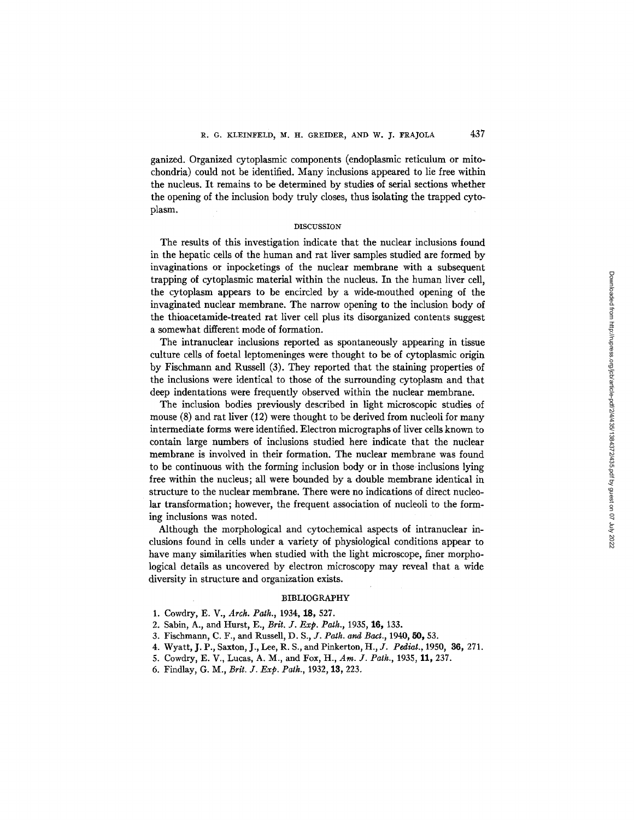ganized. Organized cytoplasmic components (endoplasmic reticulum or mitochondria) could not be identified. Many inclusions appeared to lie free within the nucleus. It remains to be determined by studies of serial sections whether the opening of the inclusion body truly closes, thus isolating the trapped cytoplasm.

#### DISCUSSION

The results of this investigation indicate that the nuclear inclusions found in the hepatic cells of the human and rat liver samples studied are formed by invaginations or inpocketings of the nuclear membrane with a subsequent trapping of cytoplasmic material within the nucleus. In the human liver cell, the cytoplasm appears to be encircled by a wide-mouthed opening of the invaginated nuclear membrane. The narrow opening to the inclusion body of the thioacetamide-treated rat liver cell plus its disorganized contents suggest a somewhat different mode of formation.

The intranuclear inclusions reported as spontaneously appearing in tissue culture cells of foetal leptomeninges were thought to be of cytoplasmic origin by Fischmann and Russell (3). They reported that the staining properties of the inclusions were identical to those of the surrounding cytoplasm and that deep indentations were frequently observed within the nuclear membrane.

The inclusion bodies previously described in light microscopic studies of mouse (8) and rat liver (12) were thought to be derived from nucleoli for many intermediate forms were identified. Electron micrographs of liver cells known to contain large numbers of inclusions studied here indicate that the nuclear membrane is involved in their formation, The nuclear membrane was found to be continuous with the forming inclusion body or in those inclusions lying free within the nucleus; all were bounded by a double membrane identical in structure to the nuclear membrane. There were no indications of direct nucleolar transformation; however, the frequent association of nucleoli to the forming inclusions was noted.

Although the morphological and cytochemical aspects of intranuclear inclusions found in cells under a variety of physiological conditions appear to have many similarities when studied with the light microscope, finer morphological details as uncovered by electron microscopy may reveal that a wide diversity in structure and organization exists.

## BIBLIOGRAPHY

- 1. Cowdry, E. V., *Arch. Path.,* 1934, 18, 527.
- 2. Sabin, A., and Hurst, E., *Brit. J. Exp. Path.,* 1935, 16, 133.
- 3. Fischmann, C. F., and Russell, *D. S., J. Path. and Bact.,* 1940, 50, 53.
- 4. Wyatt, J. P., Saxton, J., Lee, R. S., and Pinkerton, *H., J. Pediat.,* 1950, 36, 271.
- 5. Cowdry, E. V., Lucas, A. M., and Fox, H., *Am. J. Path.,* 1935, 11,237.
- 6. Findlay, G. M., *Brit. J. Exp. Path.,* 1932, 13, 223.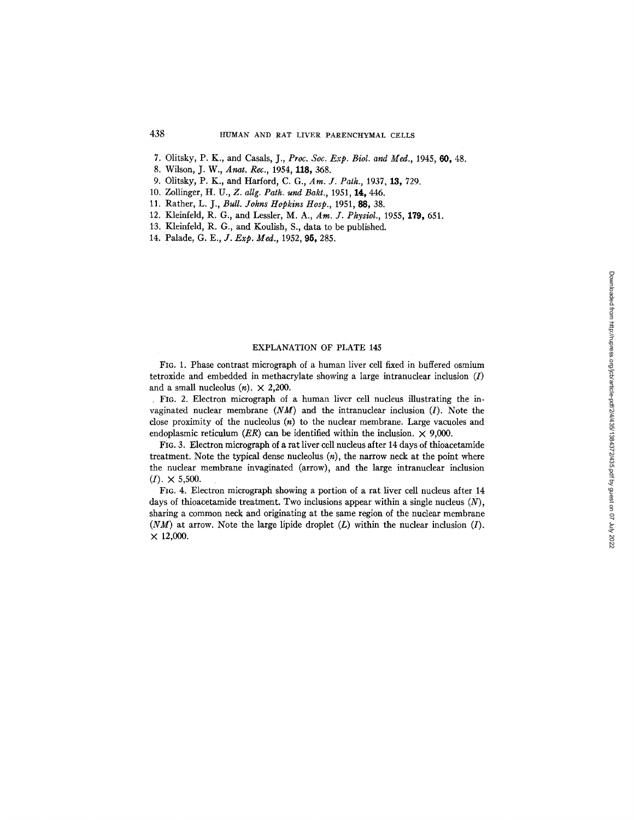- 7. Olitsky, P. K., and Casals, J., *Proc. Soc. Exp. Biol. and Med.,* 1945, 60, 48.
- 8. Wilson, *J. W., Anat. Rex.,* 1954, 118, 368.
- 9. Olitsky, P. K., and Harford, C. G., *Am. J. Path.,* 1937, 13, 729.
- 10. Zollinger, H. U., *Z. allg. Path. und Bakt.,* 1951, 14, 446.
- 11. Rather, L. J., *Bull. Johns Hopkins Hosp.,* 1951, 88, 38.
- 12. Kleinfeld, R. *G.,* and Lessler, M. A., *Am. J. Physiol.,* 1955, 179, 651.
- 13. Kleinfeld, R. G., and Koulish, S., data to be published.
- 14. Palade, *G. E., J. Exp. Med.*, 1952, 95, 285.

## EXPLANATION OF PLATE 145

FIo. 1. Phase contrast micrograph of a human liver cell fixed in buffered osmium tetroxide and embedded in methacrylate showing a large intranuclear inclusion (I) and a small nucleolus  $(n) \times 2,200$ .

FIG. 2. Electron micrograph of a human liver cell nucleus illustrating the invaginated nuclear membrane  $(NM)$  and the intranuclear inclusion  $(I)$ . Note the close proximity of the nucleolus (n) to the nuclear membrane. Large vacuoles and endoplasmic reticulum  $(ER)$  can be identified within the inclusion.  $\times$  9,000.

FiG. 3. Electron micrograph of a rat liver cell nucleus after 14 days of thioacetamide treatment. Note the typical dense nucleolus  $(n)$ , the narrow neck at the point where the nuclear membrane invaginated (arrow), and the large intranuclear inclusion  $(I) \times 5,500.$ 

FIG. 4. Electron micrograph showing a portion of a rat liver cell nucleus after 14 days of thioacetamide treatment. Two inclusions appear within a single nucleus  $(N)$ , sharing a common neck and originating at the same region of the nuclear membrane *(NM)* at arrow. Note the large lipide droplet (L) within the nudear indusion (I).  $\times$  12,000.